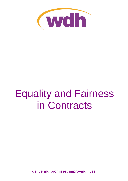

# Equality and Fairness in Contracts

**delivering promises, improving lives**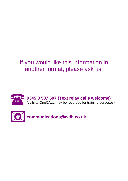# If you would like this information in another format, please ask us.





**communications@wdh.co.uk**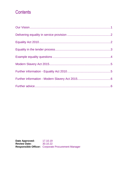### **Contents**

**Date Approved:** 17.10.19 **Review Date:** 30.10.22 **Responsible Officer:** Corporate Procurement Manager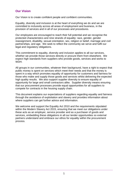#### <span id="page-3-0"></span>**Our Vision**

Our Vision is to create confident people and confident communities.

Equality, diversity and inclusion is at the heart of everything we do and we are committed to inclusivity across all areas of employment and business, in the provision of services and in all of our processes and procedures.

Our employees are encouraged to reach their full potential and we recognise the protected characteristics and nine strands of equality: race, gender, gender reassignment, disability, sexual orientation, sex, religion or belief, marriage and civil partnerships, and age. We seek to reflect the community we serve and fulfil our legal and regulatory obligations.

This commitment to equality, diversity and inclusion applies to all our services, whether we provide those services directly or procure them from elsewhere. We expect high standards from suppliers who provide goods, services and works to WDH.

All groups in our communities, whatever their background, have a right to expect that public money is spent on services which meet their needs and that the money is spent in a way which promotes equality of opportunity for customers and fairness for those who make and supply those goods and services whilst delivering the expected high quality results. We also support supplier diversity to ensure equality of opportunity for large and small contractors alike. Supplier diversity means ensuring that our procurement processes provide equal opportunities for all suppliers to compete for contracts in the housing supply chain.

This document explains our expectations of suppliers regarding equality and fairness through the avoidance of exploitation and slavery and provides information about where suppliers can get further advice and information.

We welcome and support the Equality Act 2010 and the requirements stipulated within the Modern Slavery Act 2015, ensuring that we meet our obligations under these acts as an employer, service provider and as a purchaser of goods and services, embedding these obligations in all our tender opportunities so external partners understand and embrace our ethos for equality within the procurement process.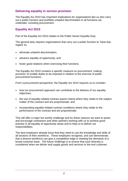#### <span id="page-4-0"></span>**Delivering equality in service provision**

The Equality Act 2010 has important implications for organisations like us who carry out a public function and prohibits unlawful discrimination in all functions we undertake, including procurement.

#### <span id="page-4-1"></span>**Equality Act 2010**

Part of the Equality Act 2010 relates to the Public Sector Equality Duty.

The general duty requires organisations that carry out a public function to 'have due regard' to:

- eliminate unlawful discrimination;
- advance equality of opportunity; and
- foster good relations when exercising their functions.

The Equality Act 2010 contains a specific measure on procurement, making provision 'to enable duties to be imposed in relation to the exercise of public procurement functions'.

From a procurement perspective, the Equality Act 2010 requires us to consider:

- how our procurement approach can contribute to the delivery of our equality objectives;
- the use of equality-related contract award criteria where they relate to the subject matter of the contract and are proportionate; and
- incorporating equality-related contract conditions where they relate to the performance of the contract and are proportionate.

This will offer a major but worthy challenge and for these reasons we want to assist and encourage contractors and other partners working with us to achieve good practice in all equality of opportunity areas and to help us to deliver our responsibilities.

The best employers already know that they need to use the knowledge and skills of all sections of their workforce. These employers recognise, and can demonstrate, that a diverse workforce can give a competitive edge in meeting the demands of a broad customer base. The future challenge is to ensure that such diversity is considered when we deliver and supply goods and services to the end customer.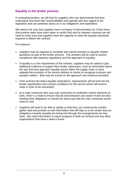#### <span id="page-5-0"></span>**Equality in the tender process**

In evaluating tenders, we will look for suppliers who can demonstrate that they understand and meet their responsibilities and operate with due regard to the legislation and can positively assist us in our obligations and aspirations.

We need to be sure that suppliers have no history of discrimination (or if they have, that positive steps have been taken to rectify this) and for relevant contracts we will need to make sure that suppliers have the capacity to meet the equality standards required to deliver the contract.

For instance:

- suppliers may be required to complete and submit answers to equality related questions as part of the tender process. The answers will be used to assess compliance with statutory regulations and the approach to equality;
- if equality is a core requirement of the contract, suppliers may be asked to give additional evidence to support their tender submission, such as information about the way that they approach equality issues within the supply chain or have adapted the provision of the service delivery to clients to recognise inclusion and equality matters. Bids may be scored on the approach and evidence provided;
- if the contract has direct equality implications, requirements will be built into the tender specification and contract conditions for the service which will need to meet in order to be successful;
- as a main contractor who uses sub contractors to undertake certain elements of work, there is a need to ensure that all subcontractors are aware of and are also meeting their obligations in exactly the same way that the main contractor would need to; and
- suppliers will need to be able to satisfy us that they can continuously monitor, gather data and provide us with information that will help us to be certain that our obligations towards equality are being met through the arrangements we may have. We need information to report progress to both our tenants and any other organisations that have a need to know.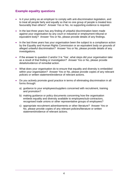#### <span id="page-6-0"></span>**Example equality questions**

- Is it your policy as an employer to comply with anti-discrimination legislation, and to treat all people fairly and equally so that no one group of people is treated less favourably than others? Answer Yes or No, no supporting evidence is required.
- In the last three years has any finding of unlawful discrimination been made against your organisation by any court or industrial or employment tribunal or equivalent body? Answer Yes or No, please provide details of any findings.
- In the last three years has your organisation been the subject to a compliance action by the Equality and Human Rights Commission or an equivalent body on grounds of alleged unlawful discrimination? Answer Yes or No, please provide details of any investigations.
- If the answer to question 2 and/or 3 is 'Yes', what steps did your organisation take as a result of that finding or investigation? Answer Yes or No, please provide details/evidence of remedial action.
- What does your organisation do to ensure that equality and diversity is embedded within your organisation? Answer Yes or No, please provide copies of any relevant policies or written statement/evidence of relevant actions.
- Do you actively promote good practice in terms of eliminating discrimination in all forms through:
	- a) guidance to your employees/suppliers concerned with recruitment, training and promotion?
	- b) making guidance or policy documents concerning how the organisation embeds equality and diversity available to employees/sub-contractors, recognised trade unions or other representative groups of employees?
	- c) appropriate recruitment advertisements or other literature? Answer Yes or No, please provide copies of any relevant policies/literature or written statement/evidence of relevant actions.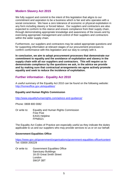#### <span id="page-7-2"></span><span id="page-7-0"></span>**Modern Slavery Act 2015**

We fully support and commit to the intent of this legislation that aligns to our commitment and aspiration to be a business which is fair and who operates with a social conscience. We have a zero tolerance of economic or physical exploitation in any form including slavery or forced labour. Our suppliers and contractors are also expected to conform to this stance and ensure compliance from their supply chain, through demonstrating appropriate knowledge and awareness of the issues and by exercising appropriate management and control of their suppliers and contractors within the wider supply chain.

Furthermore, our suppliers and contractors may be asked appropriate questions and for supporting information at relevant stages of our procurement processes to confirm conformance with this legislation and our duty to comply with it.

**In conclusion, we aim to adopt procurement processes that demonstrate our commitment to equality and the avoidance of exploitation and slavery in the supply chain with all our suppliers and contractors. This will require us to demonstrate compliance by the questions we ask, in the advice we provide and by making sure that contractual arrangements we agree actively promote equality and seek to reduce the incidence of exploitation.**

#### <span id="page-7-1"></span>**Further information - Equality Act 2010**

A useful summary of the Equality Act 2010 can be found on the following website: <http://homeoffice.gov.uk/equalities/>

#### **Equality and Human Rights Commission**

<http://www.equalityhumanrights.com/advice-and-guidance/>

Phone: 0808 800 0082

Or write to: Equality and Human Rights Commission Free Post EASS Helpline FPN6521

The Equality Act Codes of Practice are especially useful as they indicate the duties applicable to us and our suppliers who may provide services to us or on our behalf.

#### **Government Equalities Office**

<https://www.gov.uk/government/organisations/government-equalities-office#content> Tel: 03000 200229

Or write to: Government Equalities Office Sanctuary Buildings 16-20 Great Smith Street London SW1P 3BT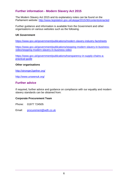#### **Further information - Modern Slavery Act 2015**

The Modern Slavery Act 2015 and its explanatory notes can be found on the Parliament website:<http://www.legislation.gov.uk/ukpga/2015/30/contents/enacted>

Further guidance and information is available from the Government and other organisations on various websites such as the following.

#### **UK Government**

<https://www.gov.uk/government/publications/modern-slavery-industry-factsheets>

[https://www.gov.uk/government/publications/stopping-modern-slavery-in-business](https://www.gov.uk/government/publications/stopping-modern-slavery-in-business-video/stopping-modern-slavery-in-business-video)[video/stopping-modern-slavery-in-business-video](https://www.gov.uk/government/publications/stopping-modern-slavery-in-business-video/stopping-modern-slavery-in-business-video)

[https://www.gov.uk/government/publications/transparency-in-supply-chains-a](https://www.gov.uk/government/publications/transparency-in-supply-chains-a-practical-guide)[practical-guide](https://www.gov.uk/government/publications/transparency-in-supply-chains-a-practical-guide)

#### **Other organisations**

<http://stronger2gether.org/>

<http://www.unseenuk.org/>

#### <span id="page-8-0"></span>**Further advice**

If required, further advice and guidance on compliance with our equality and modern slavery standards can be obtained from:

#### **Corporate Procurement Team**

Phone: 01977 724505

Email: [procurement@wdh.co.uk](mailto:procurement@wdh.co.uk)